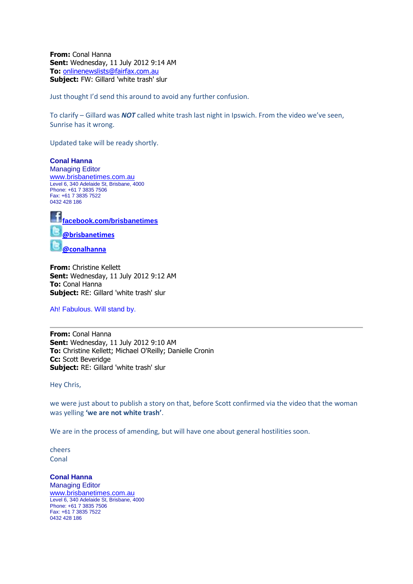**From:** Conal Hanna **Sent:** Wednesday, 11 July 2012 9:14 AM **To:** [onlinenewslists@fairfax.com.au](mailto:onlinenewslists@fairfax.com.au) **Subject:** FW: Gillard 'white trash' slur

Just thought I'd send this around to avoid any further confusion.

To clarify – Gillard was *NOT* called white trash last night in Ipswich. From the video we've seen, Sunrise has it wrong.

Updated take will be ready shortly.

**Conal Hanna** Managing Editor [www.brisbanetimes.com.au](http://www.brisbanetimes.com.au/) Level 6, 340 Adelaide St, Brisbane, 4000 Phone: +61 7 3835 7506 Fax: +61 7 3835 7522 0432 428 186



**From:** Christine Kellett **Sent:** Wednesday, 11 July 2012 9:12 AM **To:** Conal Hanna **Subject:** RE: Gillard 'white trash' slur

Ah! Fabulous. Will stand by.

**From:** Conal Hanna **Sent:** Wednesday, 11 July 2012 9:10 AM **To:** Christine Kellett; Michael O'Reilly; Danielle Cronin **Cc:** Scott Beveridge **Subject:** RE: Gillard 'white trash' slur

Hey Chris,

we were just about to publish a story on that, before Scott confirmed via the video that the woman was yelling **'we are not white trash'**.

We are in the process of amending, but will have one about general hostilities soon.

cheers **Conal** 

**Conal Hanna** Managing Editor [www.brisbanetimes.com.au](http://www.brisbanetimes.com.au/) Level 6, 340 Adelaide St, Brisbane, 4000 Phone: +61 7 3835 7506 Fax: +61 7 3835 7522 0432 428 186